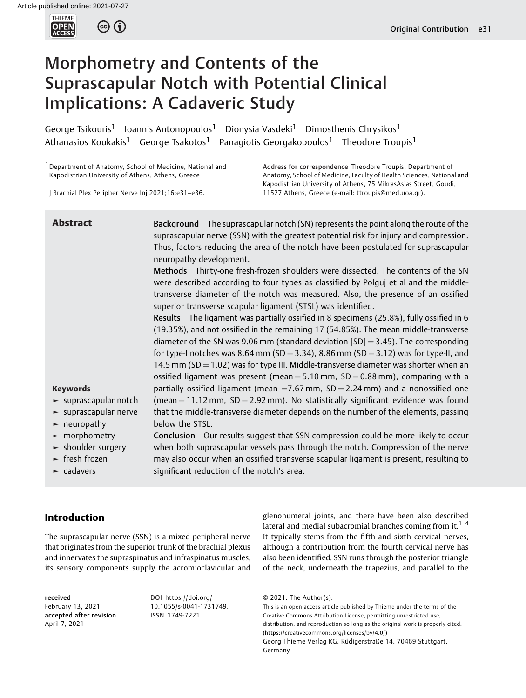THIEME<br>**OPEN**<br>ACCESS  $\circled{c}$  (i)

# Morphometry and Contents of the Suprascapular Notch with Potential Clinical Implications: A Cadaveric Study

George Tsikouris<sup>1</sup> Ioannis Antonopoulos<sup>1</sup> Dionysia Vasdeki<sup>1</sup> Dimosthenis Chrysikos<sup>1</sup> Athanasios Koukakis<sup>1</sup> George Tsakotos<sup>1</sup> Panagiotis Georgakopoulos<sup>1</sup> Theodore Troupis<sup>1</sup>

<sup>1</sup> Department of Anatomy, School of Medicine, National and Kapodistrian University of Athens, Athens, Greece

J Brachial Plex Peripher Nerve Inj 2021;16:e31–e36.

Address for correspondence Theodore Troupis, Department of Anatomy, School of Medicine, Faculty of Health Sciences, National and Kapodistrian University of Athens, 75 MikrasAsias Street, Goudi, 11527 Athens, Greece (e-mail: [ttroupis@med.uoa.gr\)](mailto:ttroupis@med.uoa.gr).

Keywords ► suprascapular notch ► suprascapular nerve ► neuropathy ► morphometry ► shoulder surgery ► fresh frozen **Abstract** Background The suprascapular notch (SN) represents the point along the route of the suprascapular nerve (SSN) with the greatest potential risk for injury and compression. Thus, factors reducing the area of the notch have been postulated for suprascapular neuropathy development. Methods Thirty-one fresh-frozen shoulders were dissected. The contents of the SN were described according to four types as classified by Polguj et al and the middletransverse diameter of the notch was measured. Also, the presence of an ossified superior transverse scapular ligament (STSL) was identified. Results The ligament was partially ossified in 8 specimens (25.8%), fully ossified in 6 (19.35%), and not ossified in the remaining 17 (54.85%). The mean middle-transverse diameter of the SN was 9.06 mm (standard deviation  $[SD] = 3.45$ ). The corresponding for type-I notches was 8.64 mm (SD = 3.34), 8.86 mm (SD = 3.12) was for type-II, and 14.5 mm ( $SD = 1.02$ ) was for type III. Middle-transverse diameter was shorter when an ossified ligament was present (mean =  $5.10$  mm,  $SD = 0.88$  mm), comparing with a partially ossified ligament (mean  $=$  7.67 mm, SD  $=$  2.24 mm) and a nonossified one (mean  $= 11.12$  mm, SD  $= 2.92$  mm). No statistically significant evidence was found that the middle-transverse diameter depends on the number of the elements, passing below the STSL. Conclusion Our results suggest that SSN compression could be more likely to occur when both suprascapular vessels pass through the notch. Compression of the nerve may also occur when an ossified transverse scapular ligament is present, resulting to

► cadavers

significant reduction of the notch's area.

# Introduction

The suprascapular nerve (SSN) is a mixed peripheral nerve that originates from the superior trunk of the brachial plexus and innervates the supraspinatus and infraspinatus muscles, its sensory components supply the acromioclavicular and

received February 13, 2021 accepted after revision April 7, 2021

DOI [https://doi.org/](https://doi.org/10.1055/s-0041-1731749) [10.1055/s-0041-1731749](https://doi.org/10.1055/s-0041-1731749). ISSN 1749-7221.

glenohumeral joints, and there have been also described lateral and medial subacromial branches coming from it.<sup>1–4</sup> It typically stems from the fifth and sixth cervical nerves, although a contribution from the fourth cervical nerve has also been identified. SSN runs through the posterior triangle of the neck, underneath the trapezius, and parallel to the

This is an open access article published by Thieme under the terms of the Creative Commons Attribution License, permitting unrestricted use, distribution, and reproduction so long as the original work is properly cited. (https://creativecommons.org/licenses/by/4.0/) Georg Thieme Verlag KG, Rüdigerstraße 14, 70469 Stuttgart, Germany

<sup>© 2021.</sup> The Author(s).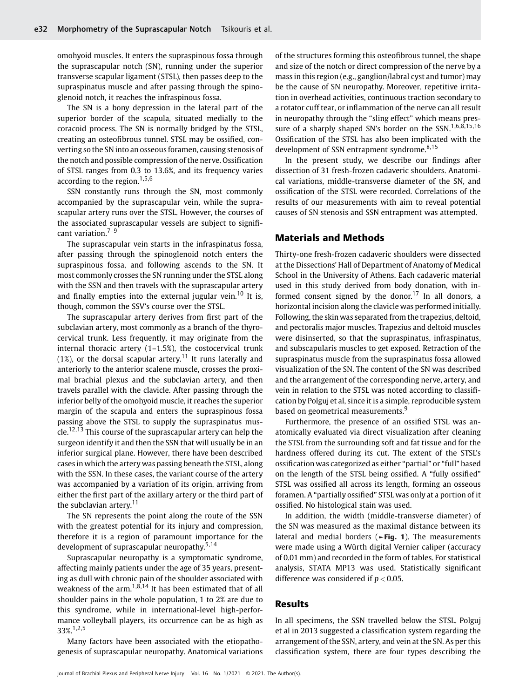omohyoid muscles. It enters the supraspinous fossa through the suprascapular notch (SN), running under the superior transverse scapular ligament (STSL), then passes deep to the supraspinatus muscle and after passing through the spinoglenoid notch, it reaches the infraspinous fossa.

The SN is a bony depression in the lateral part of the superior border of the scapula, situated medially to the coracoid process. The SN is normally bridged by the STSL, creating an osteofibrous tunnel. STSL may be ossified, converting so the SN into an osseous foramen, causing stenosis of the notch and possible compression of the nerve. Ossification of STSL ranges from 0.3 to 13.6%, and its frequency varies according to the region.<sup>1,5,6</sup>

SSN constantly runs through the SN, most commonly accompanied by the suprascapular vein, while the suprascapular artery runs over the STSL. However, the courses of the associated suprascapular vessels are subject to significant variation.<sup>7-9</sup>

The suprascapular vein starts in the infraspinatus fossa, after passing through the spinoglenoid notch enters the supraspinous fossa, and following ascends to the SN. It most commonly crosses the SN running under the STSL along with the SSN and then travels with the suprascapular artery and finally empties into the external jugular vein.<sup>10</sup> It is, though, common the SSV's course over the STSL.

The suprascapular artery derives from first part of the subclavian artery, most commonly as a branch of the thyrocervical trunk. Less frequently, it may originate from the internal thoracic artery (1–1.5%), the costocervical trunk (1%), or the dorsal scapular artery.<sup>11</sup> It runs laterally and anteriorly to the anterior scalene muscle, crosses the proximal brachial plexus and the subclavian artery, and then travels parallel with the clavicle. After passing through the inferior belly of the omohyoid muscle, it reaches the superior margin of the scapula and enters the supraspinous fossa passing above the STSL to supply the supraspinatus muscle.<sup>12,13</sup> This course of the suprascapular artery can help the surgeon identify it and then the SSN that will usually be in an inferior surgical plane. However, there have been described cases in which the artery was passing beneath the STSL, along with the SSN. In these cases, the variant course of the artery was accompanied by a variation of its origin, arriving from either the first part of the axillary artery or the third part of the subclavian artery. $11$ 

The SN represents the point along the route of the SSN with the greatest potential for its injury and compression, therefore it is a region of paramount importance for the development of suprascapular neuropathy. $5,14$ 

Suprascapular neuropathy is a symptomatic syndrome, affecting mainly patients under the age of 35 years, presenting as dull with chronic pain of the shoulder associated with weakness of the arm.1,8,14 It has been estimated that of all shoulder pains in the whole population, 1 to 2% are due to this syndrome, while in international-level high-performance volleyball players, its occurrence can be as high as 33%.1,2,5

Many factors have been associated with the etiopathogenesis of suprascapular neuropathy. Anatomical variations of the structures forming this osteofibrous tunnel, the shape and size of the notch or direct compression of the nerve by a mass in this region (e.g., ganglion/labral cyst and tumor) may be the cause of SN neuropathy. Moreover, repetitive irritation in overhead activities, continuous traction secondary to a rotator cuff tear, or inflammation of the nerve can all result in neuropathy through the "sling effect" which means pressure of a sharply shaped SN's border on the SSN.<sup>1,6,8,15,16</sup> Ossification of the STSL has also been implicated with the development of SSN entrapment syndrome.<sup>8,15</sup>

In the present study, we describe our findings after dissection of 31 fresh-frozen cadaveric shoulders. Anatomical variations, middle-transverse diameter of the SN, and ossification of the STSL were recorded. Correlations of the results of our measurements with aim to reveal potential causes of SN stenosis and SSN entrapment was attempted.

# Materials and Methods

Thirty-one fresh-frozen cadaveric shoulders were dissected at the Dissections' Hall of Department of Anatomy of Medical School in the University of Athens. Each cadaveric material used in this study derived from body donation, with informed consent signed by the donor.<sup>17</sup> In all donors, a horizontal incision along the clavicle was performed initially. Following, the skin was separated from the trapezius, deltoid, and pectoralis major muscles. Trapezius and deltoid muscles were disinserted, so that the supraspinatus, infraspinatus, and subscapularis muscles to get exposed. Retraction of the supraspinatus muscle from the supraspinatus fossa allowed visualization of the SN. The content of the SN was described and the arrangement of the corresponding nerve, artery, and vein in relation to the STSL was noted according to classification by Polguj et al, since it is a simple, reproducible system based on geometrical measurements.<sup>9</sup>

Furthermore, the presence of an ossified STSL was anatomically evaluated via direct visualization after cleaning the STSL from the surrounding soft and fat tissue and for the hardness offered during its cut. The extent of the STSL's ossification was categorized as either "partial" or "full" based on the length of the STSL being ossified. A "fully ossified" STSL was ossified all across its length, forming an osseous foramen. A "partially ossified" STSL was only at a portion of it ossified. No histological stain was used.

In addition, the width (middle-transverse diameter) of the SN was measured as the maximal distance between its lateral and medial borders ( $\blacktriangleright$ Fig. 1). The measurements were made using a Würth digital Vernier caliper (accuracy of 0.01 mm) and recorded in the form of tables. For statistical analysis, STATA MP13 was used. Statistically significant difference was considered if  $p < 0.05$ .

### Results

In all specimens, the SSN travelled below the STSL. Polguj et al in 2013 suggested a classification system regarding the arrangement of the SSN, artery, and vein at the SN. As per this classification system, there are four types describing the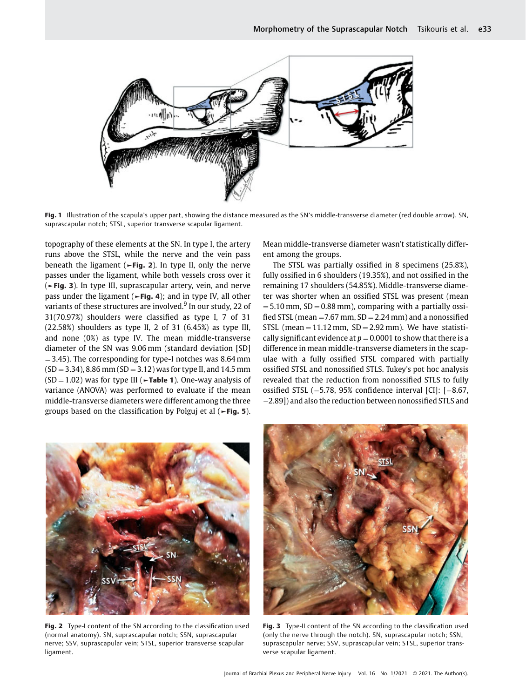

Fig. 1 Illustration of the scapula's upper part, showing the distance measured as the SN's middle-transverse diameter (red double arrow). SN, suprascapular notch; STSL, superior transverse scapular ligament.

topography of these elements at the SN. In type I, the artery runs above the STSL, while the nerve and the vein pass beneath the ligament ( $\blacktriangleright$ Fig. 2). In type II, only the nerve passes under the ligament, while both vessels cross over it (►Fig. 3). In type III, suprascapular artery, vein, and nerve pass under the ligament (►Fig. 4); and in type IV, all other variants of these structures are involved.<sup>9</sup> In our study, 22 of 31(70.97%) shoulders were classified as type I, 7 of 31 (22.58%) shoulders as type II, 2 of 31 (6.45%) as type III, and none (0%) as type IV. The mean middle-transverse diameter of the SN was 9.06 mm (standard deviation [SD]  $=$  3.45). The corresponding for type-I notches was 8.64 mm  $(SD = 3.34)$ , 8.86 mm  $(SD = 3.12)$  was for type II, and 14.5 mm  $(SD = 1.02)$  was for type III ( $\blacktriangleright$ Table 1). One-way analysis of variance (ANOVA) was performed to evaluate if the mean middle-transverse diameters were different among the three groups based on the classification by Polguj et al (►Fig. 5).

Mean middle-transverse diameter wasn't statistically different among the groups.

The STSL was partially ossified in 8 specimens (25.8%), fully ossified in 6 shoulders (19.35%), and not ossified in the remaining 17 shoulders (54.85%). Middle-transverse diameter was shorter when an ossified STSL was present (mean  $=$  5.10 mm, SD  $=$  0.88 mm), comparing with a partially ossified STSL (mean  $=$  7.67 mm, SD  $=$  2.24 mm) and a nonossified STSL (mean  $= 11.12$  mm,  $SD = 2.92$  mm). We have statistically significant evidence at  $p = 0.0001$  to show that there is a difference in mean middle-transverse diameters in the scapulae with a fully ossified STSL compared with partially ossified STSL and nonossified STLS. Tukey's pot hoc analysis revealed that the reduction from nonossified STLS to fully ossified STSL (-5.78, 95% confidence interval [CI]: [-8.67, -2.89]) and also the reduction between nonossified STLS and



Fig. 2 Type-I content of the SN according to the classification used (normal anatomy). SN, suprascapular notch; SSN, suprascapular nerve; SSV, suprascapular vein; STSL, superior transverse scapular ligament.



Fig. 3 Type-II content of the SN according to the classification used (only the nerve through the notch). SN, suprascapular notch; SSN, suprascapular nerve; SSV, suprascapular vein; STSL, superior transverse scapular ligament.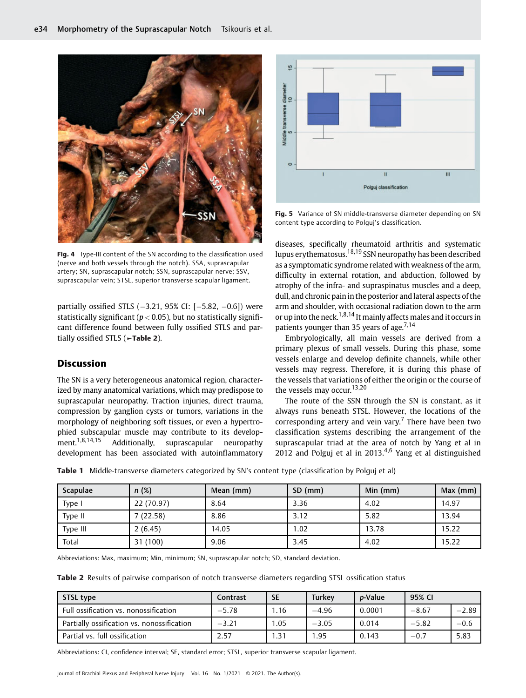

Fig. 4 Type-III content of the SN according to the classification used (nerve and both vessels through the notch). SSA, suprascapular artery; SN, suprascapular notch; SSN, suprascapular nerve; SSV, suprascapular vein; STSL, superior transverse scapular ligament.

partially ossified STLS (-3.21, 95% CI: [-5.82, -0.6]) were statistically significant ( $p < 0.05$ ), but no statistically significant difference found between fully ossified STLS and partially ossified STLS (►Table 2).

### Discussion

The SN is a very heterogeneous anatomical region, characterized by many anatomical variations, which may predispose to suprascapular neuropathy. Traction injuries, direct trauma, compression by ganglion cysts or tumors, variations in the morphology of neighboring soft tissues, or even a hypertrophied subscapular muscle may contribute to its development.1,8,14,15 Additionally, suprascapular neuropathy development has been associated with autoinflammatory



Fig. 5 Variance of SN middle-transverse diameter depending on SN content type according to Polguj's classification.

diseases, specifically rheumatoid arthritis and systematic lupus erythematosus.18,19 SSN neuropathy has been described as a symptomatic syndrome related with weakness of the arm, difficulty in external rotation, and abduction, followed by atrophy of the infra- and supraspinatus muscles and a deep, dull, and chronic pain in the posterior and lateral aspects of the arm and shoulder, with occasional radiation down to the arm or up into the neck.<sup>1,8,14</sup> It mainly affects males and it occurs in patients younger than 35 years of age.<sup>7,14</sup>

Embryologically, all main vessels are derived from a primary plexus of small vessels. During this phase, some vessels enlarge and develop definite channels, while other vessels may regress. Therefore, it is during this phase of the vessels that variations of either the origin or the course of the vessels may occur.<sup>13,20</sup>

The route of the SSN through the SN is constant, as it always runs beneath STSL. However, the locations of the corresponding artery and vein vary.<sup>7</sup> There have been two classification systems describing the arrangement of the suprascapular triad at the area of notch by Yang et al in 2012 and Polguj et al in 2013. $4,6$  Yang et al distinguished

Table 1 Middle-transverse diameters categorized by SN's content type (classification by Polguj et al)

| Scapulae | n(%)       | Mean (mm) | $SD$ (mm) | Min (mm) | Max $(mm)$ |
|----------|------------|-----------|-----------|----------|------------|
| Type i   | 22 (70.97) | 8.64      | 3.36      | 4.02     | 14.97      |
| Type II  | 7 (22.58)  | 8.86      | 3.12      | 5.82     | 13.94      |
| Type III | 2(6.45)    | 14.05     | 1.02      | 13.78    | 15.22      |
| Total    | 31 (100)   | 9.06      | 3.45      | 4.02     | 15.22      |

Abbreviations: Max, maximum; Min, minimum; SN, suprascapular notch; SD, standard deviation.

Table 2 Results of pairwise comparison of notch transverse diameters regarding STSL ossification status

| STSL type                                  | Contrast | <b>SE</b> | Turkev  | <i>p</i> -Value | 95% CI  |         |
|--------------------------------------------|----------|-----------|---------|-----------------|---------|---------|
| Full ossification vs. nonossification      | $-5.78$  | .16       | $-4.96$ | 0.0001          | $-8.67$ | $-2.89$ |
| Partially ossification vs. nonossification | $-3.21$  | 1.05      | $-3.05$ | 0.014           | $-5.82$ | $-0.6$  |
| Partial vs. full ossification              | 2.57     | .31       | 95. ا   | 0.143           | $-0.7$  | 5.83    |

Abbreviations: CI, confidence interval; SE, standard error; STSL, superior transverse scapular ligament.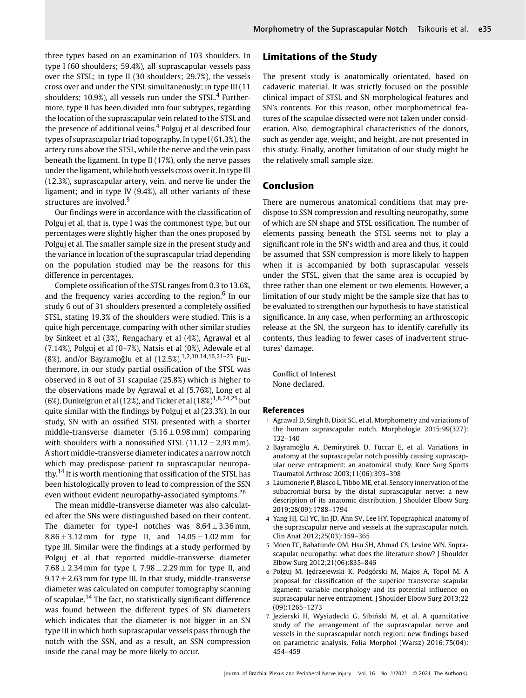three types based on an examination of 103 shoulders. In type I (60 shoulders; 59.4%), all suprascapular vessels pass over the STSL; in type II (30 shoulders; 29.7%), the vessels cross over and under the STSL simultaneously; in type III (11 shoulders; 10.9%), all vessels run under the STSL.<sup>4</sup> Furthermore, type II has been divided into four subtypes, regarding the location of the suprascapular vein related to the STSL and the presence of additional veins.<sup>4</sup> Polguj et al described four types of suprascapular triad topography. In type I (61.3%), the artery runs above the STSL, while the nerve and the vein pass beneath the ligament. In type II (17%), only the nerve passes under the ligament, while both vessels cross over it. In type III (12.3%), suprascapular artery, vein, and nerve lie under the ligament; and in type IV (9.4%), all other variants of these structures are involved.<sup>9</sup>

Our findings were in accordance with the classification of Polguj et al, that is, type I was the commonest type, but our percentages were slightly higher than the ones proposed by Polguj et al. The smaller sample size in the present study and the variance in location of the suprascapular triad depending on the population studied may be the reasons for this difference in percentages.

Complete ossification of the STSL ranges from 0.3 to 13.6%, and the frequency varies according to the region. $6$  In our study 6 out of 31 shoulders presented a completely ossified STSL, stating 19.3% of the shoulders were studied. This is a quite high percentage, comparing with other similar studies by Sinkeet et al (3%), Rengachary et al (4%), Agrawal et al (7.14%), Polguj et al (0–7%), Natsis et al (0%), Adewale et al (8%), and/or Bayramoğlu et al (12.5%).1,2,10,14,16,21–<sup>23</sup> Furthermore, in our study partial ossification of the STSL was observed in 8 out of 31 scapulae (25.8%) which is higher to the observations made by Agrawal et al (5.76%), Long et al (6%), Dunkelgrun et al (12%), and Ticker et al (18%)<sup>1,8,24,25</sup> but quite similar with the findings by Polguj et al (23.3%). In our study, SN with an ossified STSL presented with a shorter middle-transverse diameter  $(5.16 \pm 0.98 \text{ mm})$  comparing with shoulders with a nonossified STSL  $(11.12 \pm 2.93 \text{ mm})$ . A short middle-transverse diameter indicates a narrow notch which may predispose patient to suprascapular neuropathy.<sup>14</sup> It is worth mentioning that ossification of the STSL has been histologically proven to lead to compression of the SSN even without evident neuropathy-associated symptoms.<sup>26</sup>

The mean middle-transverse diameter was also calculated after the SNs were distinguished based on their content. The diameter for type-I notches was  $8.64 \pm 3.36$  mm,  $8.86 \pm 3.12$  mm for type II, and  $14.05 \pm 1.02$  mm for type III. Similar were the findings at a study performed by Polguj et al that reported middle-transverse diameter  $7.68 \pm 2.34$  mm for type I,  $7.98 \pm 2.29$  mm for type II, and  $9.17 \pm 2.63$  mm for type III. In that study, middle-transverse diameter was calculated on computer tomography scanning of scapulae.<sup>14</sup> The fact, no statistically significant difference was found between the different types of SN diameters which indicates that the diameter is not bigger in an SN type III in which both suprascapular vessels pass through the notch with the SSN, and as a result, an SSN compression inside the canal may be more likely to occur.

# Limitations of the Study

The present study is anatomically orientated, based on cadaveric material. It was strictly focused on the possible clinical impact of STSL and SN morphological features and SN's contents. For this reason, other morphometrical features of the scapulae dissected were not taken under consideration. Also, demographical characteristics of the donors, such as gender age, weight, and height, are not presented in this study. Finally, another limitation of our study might be the relatively small sample size.

#### Conclusion

There are numerous anatomical conditions that may predispose to SSN compression and resulting neuropathy, some of which are SN shape and STSL ossification. The number of elements passing beneath the STSL seems not to play a significant role in the SN's width and area and thus, it could be assumed that SSN compression is more likely to happen when it is accompanied by both suprascapular vessels under the STSL, given that the same area is occupied by three rather than one element or two elements. However, a limitation of our study might be the sample size that has to be evaluated to strengthen our hypothesis to have statistical significance. In any case, when performing an arthroscopic release at the SN, the surgeon has to identify carefully its contents, thus leading to fewer cases of inadvertent structures' damage.

Conflict of Interest None declared.

#### References

- 1 Agrawal D, Singh B, Dixit SG, et al. Morphometry and variations of the human suprascapular notch. Morphologie 2015;99(327): 132–140
- 2 Bayramoğlu A, Demiryürek D, Tüccar E, et al. Variations in anatomy at the suprascapular notch possibly causing suprascapular nerve entrapment: an anatomical study. Knee Surg Sports Traumatol Arthrosc 2003;11(06):393–398
- 3 Laumonerie P, Blasco L, Tibbo ME, et al. Sensory innervation of the subacromial bursa by the distal suprascapular nerve: a new description of its anatomic distribution. J Shoulder Elbow Surg 2019;28(09):1788–1794
- 4 Yang HJ, Gil YC, Jin JD, Ahn SV, Lee HY. Topographical anatomy of the suprascapular nerve and vessels at the suprascapular notch. Clin Anat 2012;25(03):359–365
- 5 Moen TC, Babatunde OM, Hsu SH, Ahmad CS, Levine WN. Suprascapular neuropathy: what does the literature show? I Shoulder Elbow Surg 2012;21(06):835–846
- 6 Polguj M, Jędrzejewski K, Podgórski M, Majos A, Topol M. A proposal for classification of the superior transverse scapular ligament: variable morphology and its potential influence on suprascapular nerve entrapment. J Shoulder Elbow Surg 2013;22 (09):1265–1273
- 7 Jezierski H, Wysiadecki G, Sibiński M, et al. A quantitative study of the arrangement of the suprascapular nerve and vessels in the suprascapular notch region: new findings based on parametric analysis. Folia Morphol (Warsz) 2016;75(04): 454–459